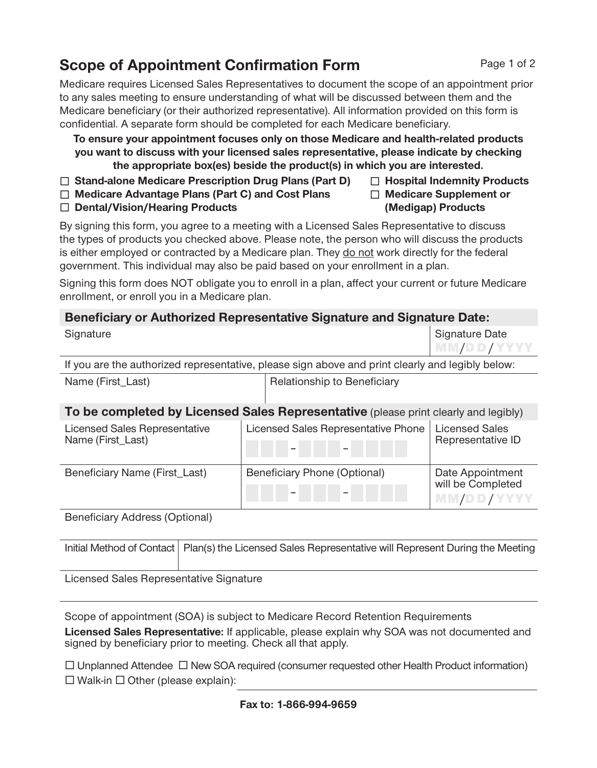# **Scope of Appointment Confirmation Form**

Medicare requires Licensed Sales Representatives to document the scope of an appointment prior to any sales meeting to ensure understanding of what will be discussed between them and the Medicare beneficiary (or their authorized representative). All information provided on this form is confidential. A separate form should be completed for each Medicare beneficiary.

**To ensure your appointment focuses only on those Medicare and health-related products you want to discuss with your licensed sales representative, please indicate by checking the appropriate box(es) beside the product(s) in which you are interested.**

**Stand-alone Medicare Prescription Drug Plans (Part D)**

**Medicare Advantage Plans (Part C) and Cost Plans**

**Dental/Vision/Hearing Products**

By signing this form, you agree to a meeting with a Licensed Sales Representative to discuss the types of products you checked above. Please note, the person who will discuss the products is either employed or contracted by a Medicare plan. They do not work directly for the federal government. This individual may also be paid based on your enrollment in a plan.

Signing this form does NOT obligate you to enroll in a plan, affect your current or future Medicare enrollment, or enroll you in a Medicare plan.

# **Beneficiary or Authorized Representative Signature and Signature Date:**

| Signature                                                                                                                                                   |                             | <b>Signature Date</b> |
|-------------------------------------------------------------------------------------------------------------------------------------------------------------|-----------------------------|-----------------------|
|                                                                                                                                                             |                             | I MM/DD/YYYY          |
| If you are the authorized representative, please sign above and print clearly and legibly below:                                                            |                             |                       |
| Name (First_Last)                                                                                                                                           | Relationship to Beneficiary |                       |
| 天、 last second attach last he season life also. Because and album / in<br>$\bullet$ $\bullet$ $\bullet$ $\bullet$ $\bullet$ $\bullet$ $\bullet$<br>$\cdots$ |                             |                       |

| To be completed by Licensed Sales Representative (please print clearly and legibly) |                                     |                                                     |
|-------------------------------------------------------------------------------------|-------------------------------------|-----------------------------------------------------|
| <b>Licensed Sales Representative</b><br>Name (First_Last)                           | Licensed Sales Representative Phone | <b>Licensed Sales</b><br>Representative ID          |
| Beneficiary Name (First_Last)                                                       | <b>Beneficiary Phone (Optional)</b> | Date Appointment<br>will be Completed<br>MM/DD/YYYY |

Beneficiary Address (Optional)

| Initial Method of Contact   Plan(s) the Licensed Sales Representative will Represent During the Meeting |
|---------------------------------------------------------------------------------------------------------|
|                                                                                                         |

Licensed Sales Representative Signature

Scope of appointment (SOA) is subject to Medicare Record Retention Requirements

**Licensed Sales Representative:** If applicable, please explain why SOA was not documented and signed by beneficiary prior to meeting. Check all that apply.

 $\Box$  Unplanned Attendee  $\Box$  New SOA required (consumer requested other Health Product information)  $\Box$  Walk-in  $\Box$  Other (please explain):

### Page 1 of 2

 **Hospital Indemnity Products Medicare Supplement or (Medigap) Products**